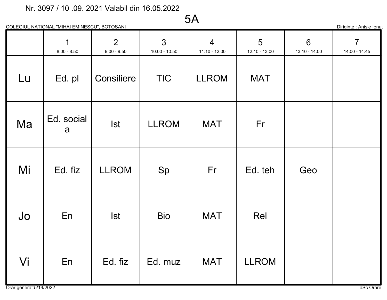# 5A

| __<br>lonuf<br>Jiriainte<br>1.0002<br>סופוו ור |
|------------------------------------------------|
|------------------------------------------------|

|    | 1<br>$8:00 - 8:50$ | $\overline{2}$<br>$9:00 - 9:50$ | 3<br>$10:00 - 10:50$ | $\overline{4}$<br>$11:10 - 12:00$ | 5<br>12:10 - 13:00 | $6\phantom{1}$<br>13:10 - 14:00 | $\overline{7}$<br>14:00 - 14:45 |
|----|--------------------|---------------------------------|----------------------|-----------------------------------|--------------------|---------------------------------|---------------------------------|
| Lu | Ed. pl             | Consiliere                      | <b>TIC</b>           | <b>LLROM</b>                      | <b>MAT</b>         |                                 |                                 |
| Ma | Ed. social<br>a    | <b>Ist</b>                      | <b>LLROM</b>         | <b>MAT</b>                        | Fr                 |                                 |                                 |
| Mi | Ed. fiz            | <b>LLROM</b>                    | Sp                   | Fr                                | Ed. teh            | Geo                             |                                 |
| Jo | En                 | <b>Ist</b>                      | <b>Bio</b>           | <b>MAT</b>                        | Rel                |                                 |                                 |
| Vi | En                 | Ed. fiz                         | Ed. muz              | <b>MAT</b>                        | <b>LLROM</b>       |                                 |                                 |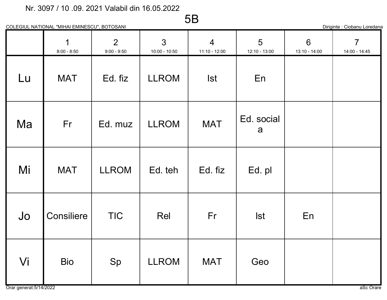COLEGIUL NATIONAL "MIHAI EMINESCU", BOTOSANI

5B

Diriginte : Ciobanu Loredana

|    | $\mathbf 1$<br>$8:00 - 8:50$ | $\overline{2}$<br>$9:00 - 9:50$ | 3<br>$10:00 - 10:50$ | $\overline{4}$<br>$11:10 - 12:00$ | 5<br>12:10 - 13:00 | 6<br>13:10 - 14:00 | $\overline{7}$<br>14:00 - 14:45 |
|----|------------------------------|---------------------------------|----------------------|-----------------------------------|--------------------|--------------------|---------------------------------|
| Lu | <b>MAT</b>                   | Ed. fiz                         | <b>LLROM</b>         | <b>Ist</b>                        | En                 |                    |                                 |
| Ma | Fr                           | Ed. muz                         | <b>LLROM</b>         | <b>MAT</b>                        | Ed. social<br>a    |                    |                                 |
| Mi | <b>MAT</b>                   | <b>LLROM</b>                    | Ed. teh              | Ed. fiz                           | Ed. pl             |                    |                                 |
| Jo | Consiliere                   | <b>TIC</b>                      | Rel                  | Fr                                | <b>Ist</b>         | En                 |                                 |
| Vi | <b>Bio</b>                   | Sp                              | <b>LLROM</b>         | <b>MAT</b>                        | Geo                |                    |                                 |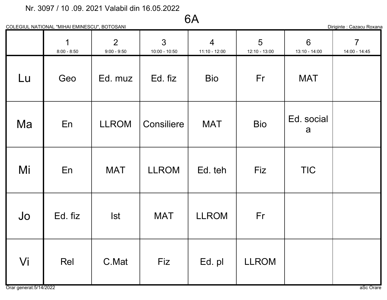# 6A

Diriginte : Cazacu Roxana

|    | $\mathbf 1$<br>$8:00 - 8:50$ | 2<br>$9:00 - 9:50$ | $\overline{3}$<br>$10:00 - 10:50$ | $\overline{4}$<br>$11:10 - 12:00$ | 5<br>12:10 - 13:00 | $6\overline{6}$<br>13:10 - 14:00 | $\overline{7}$<br>14:00 - 14:45 |
|----|------------------------------|--------------------|-----------------------------------|-----------------------------------|--------------------|----------------------------------|---------------------------------|
| Lu | Geo                          | Ed. muz            | Ed. fiz                           | <b>Bio</b>                        | Fr                 | <b>MAT</b>                       |                                 |
| Ma | En                           | <b>LLROM</b>       | Consiliere                        | <b>MAT</b>                        | <b>Bio</b>         | Ed. social<br>a                  |                                 |
| Mi | En                           | <b>MAT</b>         | <b>LLROM</b>                      | Ed. teh                           | Fiz                | <b>TIC</b>                       |                                 |
| Jo | Ed. fiz                      | <b>Ist</b>         | <b>MAT</b>                        | <b>LLROM</b>                      | Fr                 |                                  |                                 |
| Vi | Rel                          | C.Mat              | Fiz                               | Ed. pl                            | <b>LLROM</b>       |                                  |                                 |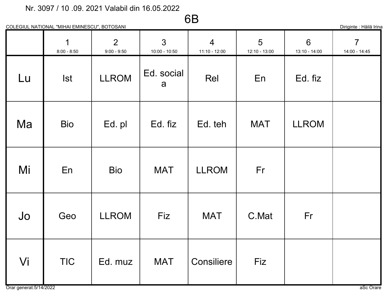# 6B

| Diriginte : Hăilă Irina |  |  |
|-------------------------|--|--|

|    | COLEGIUL NATIONAL "MIHAI EMINESCU", BOTOSANI |                                 |                                   |                                 |                    |                    | Diriginte : Hăilă Irina         |
|----|----------------------------------------------|---------------------------------|-----------------------------------|---------------------------------|--------------------|--------------------|---------------------------------|
|    | 1<br>$8:00 - 8:50$                           | $\overline{2}$<br>$9:00 - 9:50$ | $\mathfrak{S}$<br>$10:00 - 10:50$ | $\overline{4}$<br>11:10 - 12:00 | 5<br>12:10 - 13:00 | 6<br>13:10 - 14:00 | $\overline{7}$<br>14:00 - 14:45 |
| Lu | <b>Ist</b>                                   | <b>LLROM</b>                    | Ed. social<br>a                   | Rel                             | En                 | Ed. fiz            |                                 |
| Ma | <b>Bio</b>                                   | Ed. pl                          | Ed. fiz                           | Ed. teh                         | <b>MAT</b>         | <b>LLROM</b>       |                                 |
| Mi | En                                           | <b>Bio</b>                      | <b>MAT</b>                        | <b>LLROM</b>                    | Fr                 |                    |                                 |
| Jo | Geo                                          | <b>LLROM</b>                    | Fiz                               | <b>MAT</b>                      | C.Mat              | Fr                 |                                 |
| Vi | <b>TIC</b>                                   | Ed. muz                         | <b>MAT</b>                        | Consiliere                      | Fiz                |                    |                                 |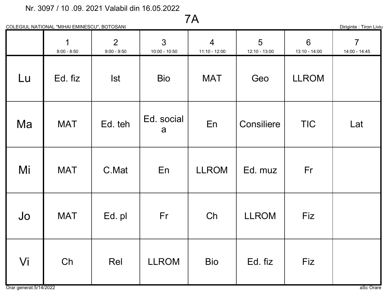# 7A

COLEGIUL NATIONAL "MIHAI EMINESCU", BOTOSANI

Diriginte : Tiron Liviu

|    | $\mathbf 1$<br>$8:00 - 8:50$ | $\overline{2}$<br>$9:00 - 9:50$ | $\overline{3}$<br>$10:00 - 10:50$ | $\overline{4}$<br>$11:10 - 12:00$ | 5<br>12:10 - 13:00 | $6\phantom{1}$<br>13:10 - 14:00 | $\overline{7}$<br>14:00 - 14:45 |
|----|------------------------------|---------------------------------|-----------------------------------|-----------------------------------|--------------------|---------------------------------|---------------------------------|
| Lu | Ed. fiz                      | <b>Ist</b>                      | <b>Bio</b>                        | <b>MAT</b>                        | Geo                | <b>LLROM</b>                    |                                 |
| Ma | <b>MAT</b>                   | Ed. teh                         | Ed. social<br>a                   | En                                | Consiliere         | <b>TIC</b>                      | Lat                             |
| Mi | <b>MAT</b>                   | C.Mat                           | En                                | <b>LLROM</b>                      | Ed. muz            | Fr                              |                                 |
| Jo | <b>MAT</b>                   | Ed. pl                          | Fr                                | Ch                                | <b>LLROM</b>       | Fiz                             |                                 |
| Vi | Ch                           | Rel                             | <b>LLROM</b>                      | <b>Bio</b>                        | Ed. fiz            | Fiz                             |                                 |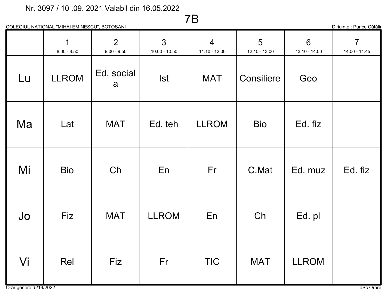# 7B

| $\sim$ 11<br>Cătălin<br>Jiriainte<br><b>Punce</b> |
|---------------------------------------------------|
|---------------------------------------------------|

|    | $\mathbf 1$<br>$8:00 - 8:50$ | 2<br>$9:00 - 9:50$ | $\mathfrak{S}$<br>$10:00 - 10:50$ | $\overline{4}$<br>$11:10 - 12:00$ | 5<br>$12:10 - 13:00$ | $6\phantom{1}$<br>13:10 - 14:00 | $\overline{7}$<br>14:00 - 14:45 |
|----|------------------------------|--------------------|-----------------------------------|-----------------------------------|----------------------|---------------------------------|---------------------------------|
| Lu | <b>LLROM</b>                 | Ed. social<br>a    | <b>Ist</b>                        | <b>MAT</b>                        | Consiliere           | Geo                             |                                 |
| Ma | Lat                          | <b>MAT</b>         | Ed. teh                           | <b>LLROM</b>                      | <b>Bio</b>           | Ed. fiz                         |                                 |
| Mi | <b>Bio</b>                   | Ch                 | En                                | Fr                                | C.Mat                | Ed. muz                         | Ed. fiz                         |
| Jo | Fiz                          | <b>MAT</b>         | <b>LLROM</b>                      | En                                | Ch                   | Ed. pl                          |                                 |
| Vi | Rel                          | Fiz                | Fr                                | <b>TIC</b>                        | <b>MAT</b>           | <b>LLROM</b>                    |                                 |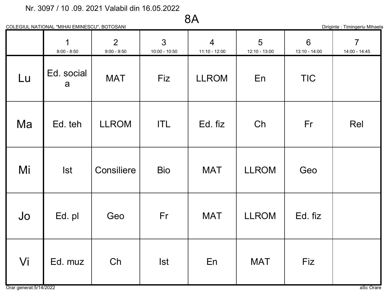# 8A

COLEGIUL NATIONAL "MIHAI EMINESCU", BOTOSANI

Diriginte : Timingeriu Mihaela

|    | $\overline{1}$<br>$8:00 - 8:50$ | 2<br>$9:00 - 9:50$ | $\mathfrak{Z}$<br>$10:00 - 10:50$ | $\overline{4}$<br>$11:10 - 12:00$ | 5<br>12:10 - 13:00 | 6<br>$13:10 - 14:00$ | $\overline{7}$<br>14:00 - 14:45 |
|----|---------------------------------|--------------------|-----------------------------------|-----------------------------------|--------------------|----------------------|---------------------------------|
| Lu | Ed. social<br>a                 | <b>MAT</b>         | Fiz                               | <b>LLROM</b>                      | En                 | <b>TIC</b>           |                                 |
| Ma | Ed. teh                         | <b>LLROM</b>       | <b>ITL</b>                        | Ed. fiz                           | Ch                 | Fr                   | Rel                             |
| Mi | <b>Ist</b>                      | Consiliere         | <b>Bio</b>                        | <b>MAT</b>                        | <b>LLROM</b>       | Geo                  |                                 |
| Jo | Ed. pl                          | Geo                | Fr                                | <b>MAT</b>                        | <b>LLROM</b>       | Ed. fiz              |                                 |
| Vi | Ed. muz                         | Ch                 | <b>Ist</b>                        | En                                | <b>MAT</b>         | Fiz                  |                                 |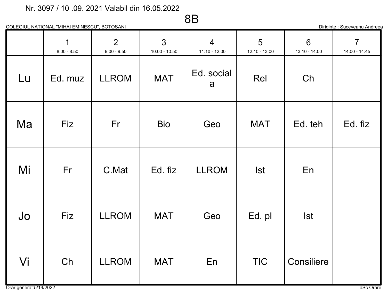8B

COLEGIUL NATIONAL "MIHAI EMINESCU", BOTOSANI

Diriginte : Suceveanu Andreea

|    | $\mathbf 1$<br>$8:00 - 8:50$ | $\overline{2}$<br>$9:00 - 9:50$ | $\mathbf{3}$<br>$10:00 - 10:50$ | $\overline{4}$<br>11:10 - 12:00 | 5<br>12:10 - 13:00 | 6<br>13:10 - 14:00 | $\overline{7}$<br>14:00 - 14:45 |
|----|------------------------------|---------------------------------|---------------------------------|---------------------------------|--------------------|--------------------|---------------------------------|
| Lu | Ed. muz                      | <b>LLROM</b>                    | <b>MAT</b>                      | Ed. social<br>a                 | Rel                | Ch                 |                                 |
| Ma | <b>Fiz</b>                   | Fr                              | <b>Bio</b>                      | Geo                             | <b>MAT</b>         | Ed. teh            | Ed. fiz                         |
| Mi | Fr                           | C.Mat                           | Ed. fiz                         | <b>LLROM</b>                    | <b>Ist</b>         | En                 |                                 |
| Jo | Fiz                          | <b>LLROM</b>                    | <b>MAT</b>                      | Geo                             | Ed. pl             | <b>Ist</b>         |                                 |
| Vi | Ch                           | <b>LLROM</b>                    | <b>MAT</b>                      | En                              | <b>TIC</b>         | Consiliere         |                                 |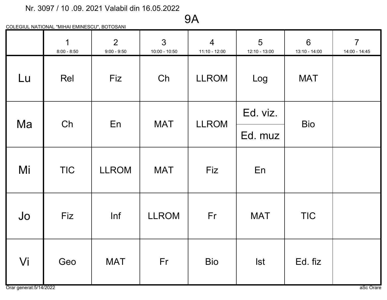# 9A

|    | $\overline{1}$<br>$8:00 - 8:50$ | $\overline{2}$<br>$9:00 - 9:50$ | $\mathbf{3}$<br>$10:00 - 10:50$ | $\overline{4}$<br>$11:10 - 12:00$ | 5<br>12:10 - 13:00 | $6\phantom{1}$<br>13:10 - 14:00 | $\overline{7}$<br>14:00 - 14:45 |
|----|---------------------------------|---------------------------------|---------------------------------|-----------------------------------|--------------------|---------------------------------|---------------------------------|
| Lu | Rel                             | Fiz                             | Ch                              | <b>LLROM</b>                      | Log                | <b>MAT</b>                      |                                 |
| Ma | Ch                              | En                              | <b>MAT</b>                      | <b>LLROM</b>                      | Ed. viz.           |                                 |                                 |
|    |                                 |                                 |                                 |                                   | Ed. muz            | <b>Bio</b>                      |                                 |
| Mi | <b>TIC</b>                      | <b>LLROM</b>                    | <b>MAT</b>                      | Fiz                               | En                 |                                 |                                 |
| Jo | Fiz                             | Inf                             | <b>LLROM</b>                    | Fr                                | <b>MAT</b>         | <b>TIC</b>                      |                                 |
| Vi | Geo                             | <b>MAT</b>                      | Fr                              | <b>Bio</b>                        | <b>Ist</b>         | Ed. fiz                         |                                 |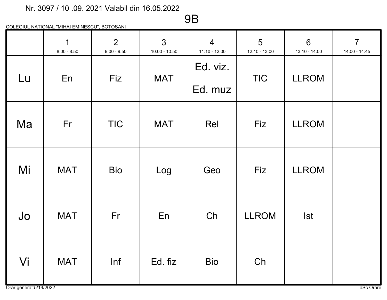9B

|    | $\overline{1}$<br>$8:00 - 8:50$ | $\overline{2}$<br>$9:00 - 9:50$ | $\mathfrak{S}$<br>$10:00 - 10:50$ | $\overline{4}$<br>11:10 - 12:00 | 5<br>12:10 - 13:00 | $6\phantom{1}6$<br>13:10 - 14:00 | $\overline{7}$<br>14:00 - 14:45 |
|----|---------------------------------|---------------------------------|-----------------------------------|---------------------------------|--------------------|----------------------------------|---------------------------------|
|    |                                 |                                 |                                   | Ed. viz.                        |                    | <b>LLROM</b>                     |                                 |
| Lu | En                              | Fiz                             | <b>MAT</b>                        | Ed. muz                         | <b>TIC</b>         |                                  |                                 |
| Ma | Fr                              | <b>TIC</b>                      | <b>MAT</b>                        | Rel                             | Fiz                | <b>LLROM</b>                     |                                 |
| Mi | <b>MAT</b>                      | <b>Bio</b>                      | Log                               | Geo                             | Fiz                | <b>LLROM</b>                     |                                 |
| Jo | <b>MAT</b>                      | Fr                              | En                                | Ch                              | <b>LLROM</b>       | <b>Ist</b>                       |                                 |
| Vi | <b>MAT</b>                      | Inf                             | Ed. fiz                           | <b>Bio</b>                      | Ch                 |                                  |                                 |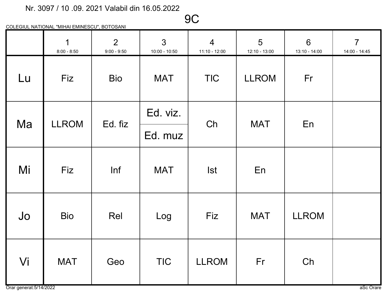9C

|    | $\mathbf 1$<br>$8:00 - 8:50$ | $\overline{2}$<br>$9:00 - 9:50$ | $\mathbf{3}$<br>$10:00 - 10:50$ | $\overline{4}$<br>$11:10 - 12:00$ | 5<br>12:10 - 13:00 | $6\phantom{1}$<br>13:10 - 14:00 | $\overline{7}$<br>14:00 - 14:45 |
|----|------------------------------|---------------------------------|---------------------------------|-----------------------------------|--------------------|---------------------------------|---------------------------------|
| Lu | Fiz                          | <b>Bio</b>                      | <b>MAT</b>                      | <b>TIC</b>                        | <b>LLROM</b>       | Fr                              |                                 |
| Ma | <b>LLROM</b>                 | Ed. fiz                         | Ed. viz.                        | Ch                                | <b>MAT</b>         | En                              |                                 |
|    |                              |                                 | Ed. muz                         |                                   |                    |                                 |                                 |
| Mi | Fiz                          | Inf                             | <b>MAT</b>                      | <b>Ist</b>                        | En                 |                                 |                                 |
| Jo | <b>Bio</b>                   | Rel                             | Log                             | Fiz                               | <b>MAT</b>         | <b>LLROM</b>                    |                                 |
| Vi | <b>MAT</b>                   | Geo                             | <b>TIC</b>                      | <b>LLROM</b>                      | Fr                 | Ch                              |                                 |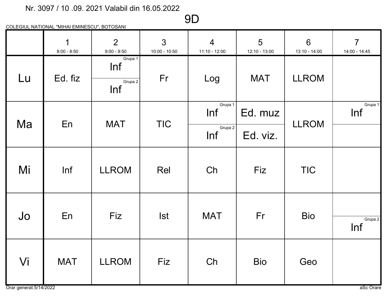# 9D

|    | $\overline{1}$<br>$8:00 - 8:50$ | $\overline{2}$<br>$9:00 - 9:50$  | $\mathbf{3}$<br>$10:00 - 10:50$ | $\overline{4}$<br>$11:10 - 12:00$ | 5<br>12:10 - 13:00 | $6\overline{6}$<br>13:10 - 14:00 | $\overline{7}$<br>14:00 - 14:45 |
|----|---------------------------------|----------------------------------|---------------------------------|-----------------------------------|--------------------|----------------------------------|---------------------------------|
| Lu | Ed. fiz                         | Grupa 1<br>Inf<br>Grupa 2<br>Inf | Fr                              | Log                               | <b>MAT</b>         | <b>LLROM</b>                     |                                 |
|    | En                              | <b>MAT</b>                       | <b>TIC</b>                      | Grupa 1<br>Inf                    | Ed. muz            | <b>LLROM</b>                     | Grupa 1<br>Inf                  |
| Ma |                                 |                                  |                                 | Grupa 2<br>Inf                    | Ed. viz.           |                                  |                                 |
| Mi | Inf                             | <b>LLROM</b>                     | Rel                             | Ch                                | <b>Fiz</b>         | <b>TIC</b>                       |                                 |
| Jo | En                              | <b>Fiz</b>                       | <b>Ist</b>                      | <b>MAT</b>                        | Fr                 | <b>Bio</b>                       | Grupa 2<br>Inf                  |
| Vi | <b>MAT</b>                      | <b>LLROM</b>                     | Fiz                             | Ch                                | <b>Bio</b>         | Geo                              |                                 |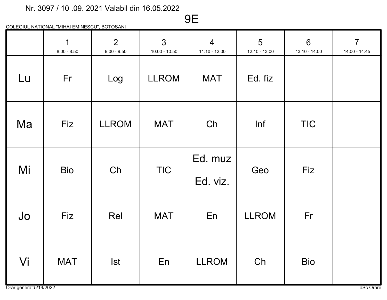# 9E

|    | $\mathbf 1$<br>$8:00 - 8:50$ | $\overline{2}$<br>$9:00 - 9:50$ | $\mathfrak{S}$<br>$10:00 - 10:50$ | $\overline{4}$<br>11:10 - 12:00 | 5<br>12:10 - 13:00 | $6\phantom{1}$<br>13:10 - 14:00 | $\overline{7}$<br>14:00 - 14:45 |
|----|------------------------------|---------------------------------|-----------------------------------|---------------------------------|--------------------|---------------------------------|---------------------------------|
| Lu | Fr                           | Log                             | <b>LLROM</b>                      | <b>MAT</b>                      | Ed. fiz            |                                 |                                 |
| Ma | Fiz                          | <b>LLROM</b>                    | <b>MAT</b>                        | Ch                              | Inf                | <b>TIC</b>                      |                                 |
| Mi | <b>Bio</b>                   | Ch                              | <b>TIC</b>                        | Ed. muz                         | Geo                | Fiz                             |                                 |
|    |                              |                                 |                                   | Ed. viz.                        |                    |                                 |                                 |
| Jo | Fiz                          | Rel                             | <b>MAT</b>                        | En                              | <b>LLROM</b>       | Fr                              |                                 |
| Vi | <b>MAT</b>                   | <b>Ist</b>                      | En                                | <b>LLROM</b>                    | Ch                 | <b>Bio</b>                      |                                 |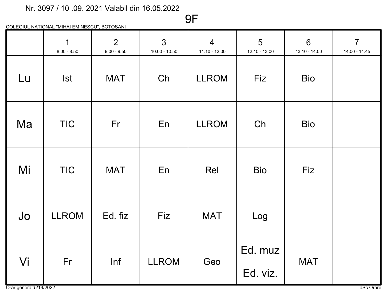COLEGIUL NATIONAL "MIHAI EMINESCU", BOTOSANI

|    | $\overline{1}$<br>$8:00 - 8:50$ | $\overline{2}$<br>$9:00 - 9:50$ | $\overline{3}$<br>$10:00 - 10:50$ | $\overline{4}$<br>$11:10 - 12:00$ | 5<br>12:10 - 13:00 | $6\phantom{1}$<br>$13:10 - 14:00$ | $\overline{7}$<br>14:00 - 14:45 |
|----|---------------------------------|---------------------------------|-----------------------------------|-----------------------------------|--------------------|-----------------------------------|---------------------------------|
| Lu | <b>Ist</b>                      | <b>MAT</b>                      | Ch                                | <b>LLROM</b>                      | Fiz                | <b>Bio</b>                        |                                 |
| Ma | <b>TIC</b>                      | Fr                              | En                                | <b>LLROM</b>                      | Ch                 | <b>Bio</b>                        |                                 |
| Mi | <b>TIC</b>                      | <b>MAT</b>                      | En                                | Rel                               | <b>Bio</b>         | <b>Fiz</b>                        |                                 |
| Jo | <b>LLROM</b>                    | Ed. fiz                         | Fiz                               | <b>MAT</b>                        | Log                |                                   |                                 |
|    | Fr                              | Inf                             | <b>LLROM</b>                      |                                   | Ed. muz            | <b>MAT</b>                        |                                 |
| Vi |                                 |                                 |                                   | Geo                               | Ed. viz.           |                                   |                                 |

9F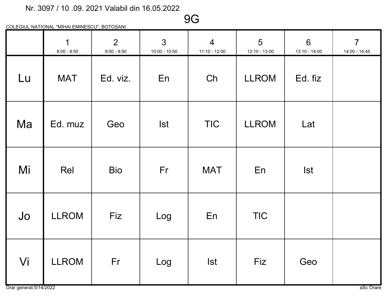9G

|    | $\overline{1}$<br>$8:00 - 8:50$ | $\overline{2}$<br>$9:00 - 9:50$ | $\mathbf{3}$<br>$10:00 - 10:50$ | $\overline{4}$<br>$11:10 - 12:00$ | 5<br>12:10 - 13:00 | $6\phantom{1}$<br>13:10 - 14:00 | $\overline{7}$<br>14:00 - 14:45 |
|----|---------------------------------|---------------------------------|---------------------------------|-----------------------------------|--------------------|---------------------------------|---------------------------------|
| Lu | <b>MAT</b>                      | Ed. viz.                        | En                              | Ch                                | <b>LLROM</b>       | Ed. fiz                         |                                 |
| Ma | Ed. muz                         | Geo                             | <b>Ist</b>                      | <b>TIC</b>                        | <b>LLROM</b>       | Lat                             |                                 |
| Mi | Rel                             | <b>Bio</b>                      | Fr                              | <b>MAT</b>                        | En                 | <b>Ist</b>                      |                                 |
| Jo | <b>LLROM</b>                    | Fiz                             | Log                             | En                                | <b>TIC</b>         |                                 |                                 |
| Vi | <b>LLROM</b>                    | Fr                              | Log                             | <b>Ist</b>                        | Fiz                | Geo                             |                                 |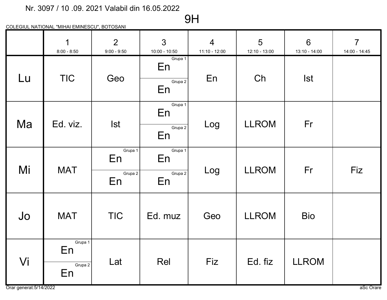# 9H

|    | $\mathbf 1$<br>$8:00 - 8:50$   | $\overline{2}$<br>$9:00 - 9:50$ | $\mathbf{3}$<br>$10:00 - 10:50$ | $\overline{4}$<br>11:10 - 12:00 | 5<br>12:10 - 13:00 | $6\phantom{1}$<br>13:10 - 14:00 | $\overline{7}$<br>14:00 - 14:45 |
|----|--------------------------------|---------------------------------|---------------------------------|---------------------------------|--------------------|---------------------------------|---------------------------------|
| Lu | <b>TIC</b>                     | Geo                             | Grupa 1<br>En<br>Grupa 2<br>En  | En                              | Ch                 | <b>Ist</b>                      |                                 |
| Ma | Ed. viz.                       | <b>Ist</b>                      | Grupa 1<br>En<br>Grupa 2<br>En  | Log                             | <b>LLROM</b>       | Fr                              |                                 |
| Mi | <b>MAT</b>                     | Grupa 1<br>En<br>Grupa 2<br>En  | Grupa 1<br>En<br>Grupa 2<br>En  | Log                             | <b>LLROM</b>       | Fr                              | Fiz                             |
| Jo | <b>MAT</b>                     | <b>TIC</b>                      | Ed. muz                         | Geo                             | <b>LLROM</b>       | <b>Bio</b>                      |                                 |
| Vi | Grupa 1<br>En<br>Grupa 2<br>En | Lat                             | Rel                             | Fiz                             | Ed. fiz            | <b>LLROM</b>                    |                                 |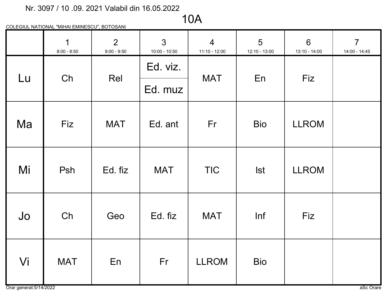# 10A

|    | $\mathbf 1$<br>$8:00 - 8:50$ | 2<br>$9:00 - 9:50$ | $\mathbf{3}$<br>$10:00 - 10:50$ | $\overline{4}$<br>$11:10 - 12:00$ | 5<br>12:10 - 13:00 | $6\phantom{1}$<br>$13:10 - 14:00$ | $\overline{7}$<br>14:00 - 14:45 |
|----|------------------------------|--------------------|---------------------------------|-----------------------------------|--------------------|-----------------------------------|---------------------------------|
| Lu | Ch                           | Rel                | Ed. viz.                        | <b>MAT</b>                        | En                 | Fiz                               |                                 |
|    |                              |                    | Ed. muz                         |                                   |                    |                                   |                                 |
| Ma | Fiz                          | <b>MAT</b>         | Ed. ant                         | Fr                                | <b>Bio</b>         | <b>LLROM</b>                      |                                 |
| Mi | Psh                          | Ed. fiz            | <b>MAT</b>                      | <b>TIC</b>                        | <b>Ist</b>         | <b>LLROM</b>                      |                                 |
| Jo | Ch                           | Geo                | Ed. fiz                         | <b>MAT</b>                        | Inf                | Fiz                               |                                 |
| Vi | <b>MAT</b>                   | En                 | Fr                              | <b>LLROM</b>                      | <b>Bio</b>         |                                   |                                 |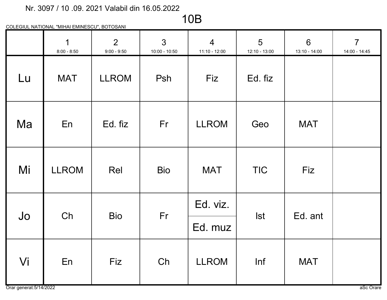### 10B

|    | $\mathbf 1$<br>$8:00 - 8:50$ | 2<br>$9:00 - 9:50$ | $\mathbf{3}$<br>$10:00 - 10:50$ | $\overline{4}$<br>11:10 - 12:00 | $5\overline{)}$<br>12:10 - 13:00 | $6\phantom{1}$<br>13:10 - 14:00 | $\overline{7}$<br>14:00 - 14:45 |
|----|------------------------------|--------------------|---------------------------------|---------------------------------|----------------------------------|---------------------------------|---------------------------------|
| Lu | <b>MAT</b>                   | <b>LLROM</b>       | Psh                             | Fiz                             | Ed. fiz                          |                                 |                                 |
| Ma | En                           | Ed. fiz            | Fr                              | <b>LLROM</b>                    | Geo                              | <b>MAT</b>                      |                                 |
| Mi | <b>LLROM</b>                 | Rel                | <b>Bio</b>                      | <b>MAT</b>                      | <b>TIC</b>                       | Fiz                             |                                 |
| Jo | Ch                           | <b>Bio</b>         | Fr                              | Ed. viz.                        | <b>Ist</b>                       | Ed. ant                         |                                 |
|    |                              |                    |                                 | Ed. muz                         |                                  |                                 |                                 |
| Vi | En                           | Fiz                | Ch                              | <b>LLROM</b>                    | Inf                              | <b>MAT</b>                      |                                 |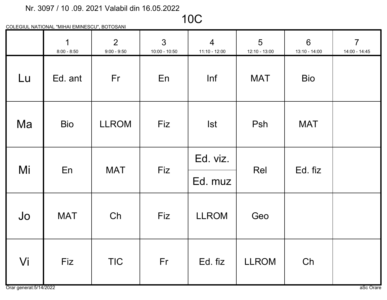10C

|    | $\mathbf 1$<br>$8:00 - 8:50$ | 2<br>$9:00 - 9:50$ | $\overline{3}$<br>10:00 - 10:50 | $\overline{4}$<br>$11:10 - 12:00$ | 5<br>12:10 - 13:00 | $6\phantom{1}$<br>13:10 - 14:00 | $\overline{7}$<br>14:00 - 14:45 |
|----|------------------------------|--------------------|---------------------------------|-----------------------------------|--------------------|---------------------------------|---------------------------------|
| Lu | Ed. ant                      | Fr                 | En                              | Inf                               | <b>MAT</b>         | <b>Bio</b>                      |                                 |
| Ma | <b>Bio</b>                   | <b>LLROM</b>       | Fiz                             | <b>Ist</b>                        | Psh                | <b>MAT</b>                      |                                 |
| Mi | En                           | <b>MAT</b>         | Fiz                             | Ed. viz.                          | Rel                | Ed. fiz                         |                                 |
|    |                              |                    |                                 | Ed. muz                           |                    |                                 |                                 |
| Jo | <b>MAT</b>                   | Ch                 | Fiz                             | <b>LLROM</b>                      | Geo                |                                 |                                 |
| Vi | <b>Fiz</b>                   | <b>TIC</b>         | Fr                              | Ed. fiz                           | <b>LLROM</b>       | Ch                              |                                 |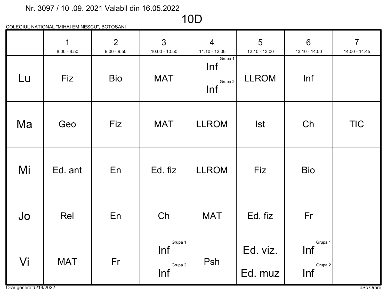# 10D

|    | $\mathbf 1$<br>$8:00 - 8:50$ | 2<br>$9:00 - 9:50$ | $\mathbf{3}$<br>$10:00 - 10:50$ | $\overline{4}$<br>$11:10 - 12:00$ | 5<br>12:10 - 13:00 | $6\phantom{1}$<br>13:10 - 14:00 | $\overline{7}$<br>14:00 - 14:45 |
|----|------------------------------|--------------------|---------------------------------|-----------------------------------|--------------------|---------------------------------|---------------------------------|
| Lu | Fiz                          | <b>Bio</b>         | <b>MAT</b>                      | Grupa 1<br>Inf<br>Grupa 2<br>Inf  | <b>LLROM</b>       | Inf                             |                                 |
| Ma | Geo                          | Fiz                | <b>MAT</b>                      | <b>LLROM</b>                      | <b>Ist</b>         | Ch                              | <b>TIC</b>                      |
| Mi | Ed. ant                      | En                 | Ed. fiz                         | <b>LLROM</b>                      | <b>Fiz</b>         | <b>Bio</b>                      |                                 |
| Jo | Rel                          | En                 | Ch                              | <b>MAT</b>                        | Ed. fiz            | Fr                              |                                 |
| Vi | <b>MAT</b>                   | Fr                 | Grupa 1<br>Inf<br>Grupa 2       | Psh                               | Ed. viz.           | Grupa 1<br>Inf<br>Grupa 2       |                                 |
|    |                              |                    | Inf                             |                                   | Ed. muz            | Inf                             |                                 |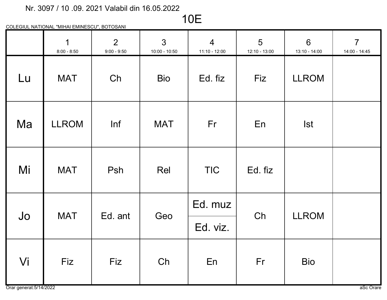# 10E

|    | $\overline{1}$<br>$8:00 - 8:50$ | $\overline{2}$<br>$9:00 - 9:50$ | $\mathbf{3}$<br>$10:00 - 10:50$ | $\overline{4}$<br>11:10 - 12:00 | $5\overline{)}$<br>12:10 - 13:00 | 6<br>13:10 - 14:00 | $\overline{7}$<br>14:00 - 14:45 |
|----|---------------------------------|---------------------------------|---------------------------------|---------------------------------|----------------------------------|--------------------|---------------------------------|
| Lu | <b>MAT</b>                      | Ch                              | <b>Bio</b>                      | Ed. fiz                         | Fiz                              | <b>LLROM</b>       |                                 |
| Ma | <b>LLROM</b>                    | Inf                             | <b>MAT</b>                      | Fr                              | En                               | <b>Ist</b>         |                                 |
| Mi | <b>MAT</b>                      | Psh                             | Rel                             | <b>TIC</b>                      | Ed. fiz                          |                    |                                 |
| Jo | <b>MAT</b>                      | Ed. ant                         | Geo                             | Ed. muz<br>Ed. viz.             | Ch                               | <b>LLROM</b>       |                                 |
| Vi | Fiz                             | Fiz                             | Ch                              | En                              | Fr                               | <b>Bio</b>         |                                 |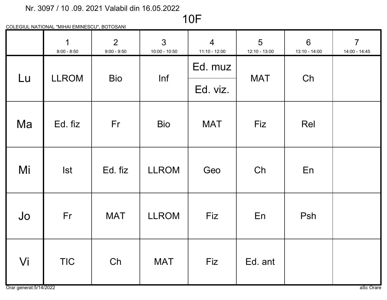### 10F

|    | $\mathbf 1$<br>$8:00 - 8:50$ | $\overline{2}$<br>$9:00 - 9:50$ | $\mathcal{S}$<br>10:00 - 10:50 | $\overline{4}$<br>$11:10 - 12:00$ | 5<br>12:10 - 13:00 | $6\phantom{1}$<br>13:10 - 14:00 | $\overline{7}$<br>14:00 - 14:45 |
|----|------------------------------|---------------------------------|--------------------------------|-----------------------------------|--------------------|---------------------------------|---------------------------------|
| Lu | <b>LLROM</b>                 | <b>Bio</b>                      | Inf                            | Ed. muz                           | <b>MAT</b>         | Ch                              |                                 |
|    |                              |                                 |                                | Ed. viz.                          |                    |                                 |                                 |
| Ma | Ed. fiz                      | Fr                              | <b>Bio</b>                     | <b>MAT</b>                        | Fiz                | Rel                             |                                 |
| Mi | <b>Ist</b>                   | Ed. fiz                         | <b>LLROM</b>                   | Geo                               | Ch                 | En                              |                                 |
| Jo | Fr                           | <b>MAT</b>                      | <b>LLROM</b>                   | Fiz                               | En                 | Psh                             |                                 |
| Vi | <b>TIC</b>                   | Ch                              | <b>MAT</b>                     | Fiz                               | Ed. ant            |                                 |                                 |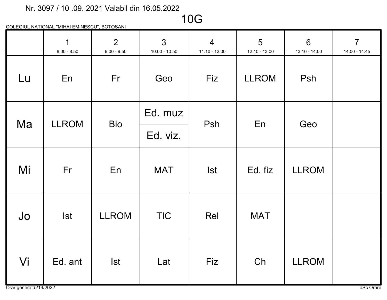### 10G

|    | $\mathbf 1$<br>$8:00 - 8:50$ | $\overline{2}$<br>$9:00 - 9:50$ | $\mathbf{3}$<br>$10:00 - 10:50$ | $\overline{4}$<br>$11:10 - 12:00$ | 5<br>12:10 - 13:00 | $6\phantom{1}6$<br>13:10 - 14:00 | $\overline{7}$<br>14:00 - 14:45 |
|----|------------------------------|---------------------------------|---------------------------------|-----------------------------------|--------------------|----------------------------------|---------------------------------|
| Lu | En                           | Fr                              | Geo                             | Fiz                               | <b>LLROM</b>       | Psh                              |                                 |
| Ma | <b>LLROM</b>                 | <b>Bio</b>                      | Ed. muz                         | Psh                               | En                 | Geo                              |                                 |
|    |                              |                                 | Ed. viz.                        |                                   |                    |                                  |                                 |
| Mi | Fr                           | En                              | <b>MAT</b>                      | <b>Ist</b>                        | Ed. fiz            | <b>LLROM</b>                     |                                 |
| Jo | <b>Ist</b>                   | <b>LLROM</b>                    | <b>TIC</b>                      | Rel                               | <b>MAT</b>         |                                  |                                 |
| Vi | Ed. ant                      | <b>Ist</b>                      | Lat                             | Fiz                               | Ch                 | <b>LLROM</b>                     |                                 |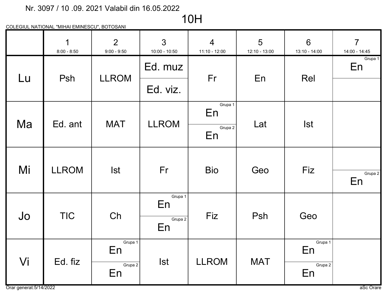# 10H

|    | $\mathbf 1$<br>$8:00 - 8:50$ | $\overline{2}$<br>$9:00 - 9:50$ | $\overline{3}$<br>$10:00 - 10:50$ | $\overline{4}$<br>$11:10 - 12:00$ | 5<br>12:10 - 13:00 | $6\overline{6}$<br>13:10 - 14:00 | $\overline{7}$<br>14:00 - 14:45 |
|----|------------------------------|---------------------------------|-----------------------------------|-----------------------------------|--------------------|----------------------------------|---------------------------------|
| Lu | Psh                          | <b>LLROM</b>                    | Ed. muz                           | Fr                                | En                 | Rel                              | Grupa 1<br>En                   |
|    |                              |                                 | Ed. viz.                          |                                   |                    |                                  |                                 |
| Ma | Ed. ant                      | <b>MAT</b>                      | <b>LLROM</b>                      | Grupa 1<br>En                     | Lat                | <b>Ist</b>                       |                                 |
|    |                              |                                 |                                   | Grupa 2<br>En                     |                    |                                  |                                 |
| Mi | <b>LLROM</b>                 | <b>Ist</b>                      | Fr                                | <b>Bio</b>                        | Geo                | Fiz                              |                                 |
|    |                              |                                 |                                   |                                   |                    |                                  | Grupa 2<br>En                   |
| Jo | <b>TIC</b>                   | Ch                              | Grupa 1<br>En                     | Fiz                               | Psh                | Geo                              |                                 |
|    |                              |                                 | Grupa 2<br>En                     |                                   |                    |                                  |                                 |
| Vi | Ed. fiz                      | Grupa 1<br>En                   | <b>Ist</b>                        | <b>LLROM</b>                      | <b>MAT</b>         | Grupa 1<br>En                    |                                 |
|    |                              | Grupa 2<br>En                   |                                   |                                   |                    | Grupa 2<br>En                    |                                 |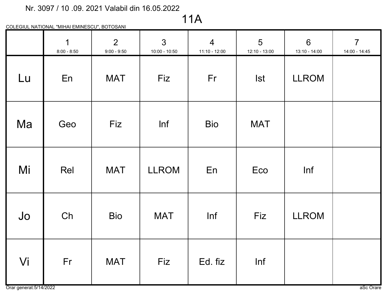11A

|    | $\overline{1}$<br>$8:00 - 8:50$ | $\overline{2}$<br>$9:00 - 9:50$ | $\overline{3}$<br>$10:00 - 10:50$ | $\overline{4}$<br>$11:10 - 12:00$ | $5\overline{)}$<br>12:10 - 13:00 | $6\phantom{a}$<br>13:10 - 14:00 | $\overline{7}$<br>14:00 - 14:45 |
|----|---------------------------------|---------------------------------|-----------------------------------|-----------------------------------|----------------------------------|---------------------------------|---------------------------------|
| Lu | En                              | <b>MAT</b>                      | Fiz                               | Fr                                | <b>Ist</b>                       | <b>LLROM</b>                    |                                 |
| Ma | Geo                             | Fiz                             | Inf                               | <b>Bio</b>                        | <b>MAT</b>                       |                                 |                                 |
| Mi | Rel                             | <b>MAT</b>                      | <b>LLROM</b>                      | En                                | Eco                              | Inf                             |                                 |
| Jo | Ch                              | <b>Bio</b>                      | <b>MAT</b>                        | Inf                               | Fiz                              | <b>LLROM</b>                    |                                 |
| Vi | Fr                              | <b>MAT</b>                      | Fiz                               | Ed. fiz                           | Inf                              |                                 |                                 |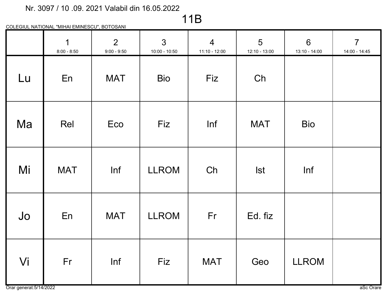# 11B

|    | $\overline{1}$<br>$8:00 - 8:50$ | 2 <sup>1</sup><br>$9:00 - 9:50$ | 3 <sup>1</sup><br>$10:00 - 10:50$ | $\overline{4}$<br>$11:10 - 12:00$ | $5\overline{)}$<br>12:10 - 13:00 | 6<br>13:10 - 14:00 | $\overline{7}$<br>14:00 - 14:45 |
|----|---------------------------------|---------------------------------|-----------------------------------|-----------------------------------|----------------------------------|--------------------|---------------------------------|
| Lu | En                              | <b>MAT</b>                      | <b>Bio</b>                        | Fiz                               | Ch                               |                    |                                 |
| Ma | Rel                             | Eco                             | Fiz                               | Inf                               | <b>MAT</b>                       | <b>Bio</b>         |                                 |
| Mi | <b>MAT</b>                      | Inf                             | <b>LLROM</b>                      | Ch                                | <b>Ist</b>                       | Inf                |                                 |
| Jo | En                              | <b>MAT</b>                      | <b>LLROM</b>                      | Fr                                | Ed. fiz                          |                    |                                 |
| Vi | Fr                              | Inf                             | Fiz                               | <b>MAT</b>                        | Geo                              | <b>LLROM</b>       |                                 |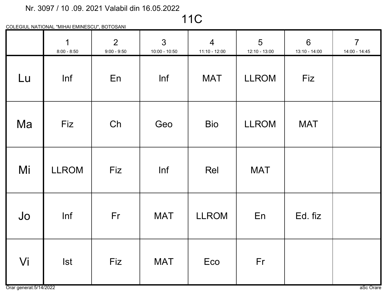11C

|    | $\overline{1}$<br>$8:00 - 8:50$ | 2 <sup>1</sup><br>$9:00 - 9:50$ | $\mathbf{3}$<br>$10:00 - 10:50$ | $\overline{4}$<br>$11:10 - 12:00$ | $5\overline{)}$<br>12:10 - 13:00 | 6<br>13:10 - 14:00 | $7\overline{ }$<br>14:00 - 14:45 |
|----|---------------------------------|---------------------------------|---------------------------------|-----------------------------------|----------------------------------|--------------------|----------------------------------|
| Lu | Inf                             | En                              | Inf                             | <b>MAT</b>                        | <b>LLROM</b>                     | Fiz                |                                  |
| Ma | Fiz                             | Ch                              | Geo                             | <b>Bio</b>                        | <b>LLROM</b>                     | <b>MAT</b>         |                                  |
| Mi | <b>LLROM</b>                    | Fiz                             | Inf                             | Rel                               | <b>MAT</b>                       |                    |                                  |
| Jo | Inf                             | Fr                              | <b>MAT</b>                      | <b>LLROM</b>                      | En                               | Ed. fiz            |                                  |
| Vi | <b>Ist</b>                      | Fiz                             | <b>MAT</b>                      | Eco                               | Fr                               |                    |                                  |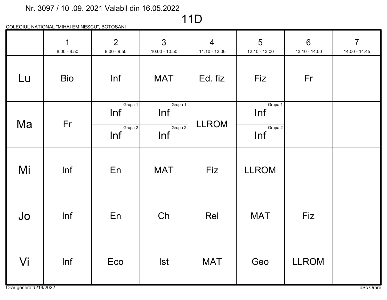# 11D

|    | $\overline{1}$<br>$8:00 - 8:50$ | 2 <sup>1</sup><br>$9:00 - 9:50$  | $\mathbf{3}$<br>$10:00 - 10:50$  | $\overline{4}$<br>$11:10 - 12:00$ | $5\overline{)}$<br>12:10 - 13:00 | $6\phantom{1}$<br>13:10 - 14:00 | $\overline{7}$<br>14:00 - 14:45 |
|----|---------------------------------|----------------------------------|----------------------------------|-----------------------------------|----------------------------------|---------------------------------|---------------------------------|
| Lu | <b>Bio</b>                      | Inf                              | <b>MAT</b>                       | Ed. fiz                           | Fiz                              | Fr                              |                                 |
| Ma | Fr                              | Grupa 1<br>Inf<br>Grupa 2<br>Inf | Grupa 1<br>Inf<br>Grupa 2<br>Inf | <b>LLROM</b>                      | Grupa 1<br>Inf<br>Grupa 2<br>Inf |                                 |                                 |
| Mi | Inf                             | En                               | <b>MAT</b>                       | Fiz                               | <b>LLROM</b>                     |                                 |                                 |
| Jo | Inf                             | En                               | Ch                               | Rel                               | <b>MAT</b>                       | Fiz                             |                                 |
| Vi | Inf                             | Eco                              | <b>Ist</b>                       | <b>MAT</b>                        | Geo                              | <b>LLROM</b>                    |                                 |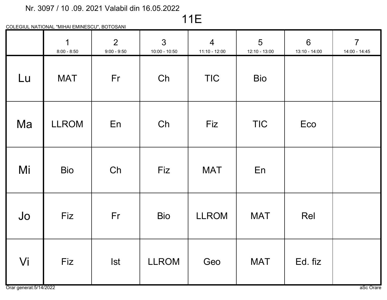# 11E

|    | $\overline{1}$<br>$8:00 - 8:50$ | $\overline{2}$<br>$9:00 - 9:50$ | $\mathbf{3}$<br>$10:00 - 10:50$ | $\overline{4}$<br>$11:10 - 12:00$ | $5\overline{)}$<br>12:10 - 13:00 | $6\phantom{1}$<br>13:10 - 14:00 | $\overline{7}$<br>14:00 - 14:45 |
|----|---------------------------------|---------------------------------|---------------------------------|-----------------------------------|----------------------------------|---------------------------------|---------------------------------|
| Lu | <b>MAT</b>                      | Fr                              | Ch                              | <b>TIC</b>                        | <b>Bio</b>                       |                                 |                                 |
| Ma | <b>LLROM</b>                    | En                              | Ch                              | Fiz                               | <b>TIC</b>                       | Eco                             |                                 |
| Mi | <b>Bio</b>                      | Ch                              | Fiz                             | <b>MAT</b>                        | En                               |                                 |                                 |
| Jo | Fiz                             | Fr                              | <b>Bio</b>                      | <b>LLROM</b>                      | <b>MAT</b>                       | Rel                             |                                 |
| Vi | Fiz                             | <b>Ist</b>                      | <b>LLROM</b>                    | Geo                               | <b>MAT</b>                       | Ed. fiz                         |                                 |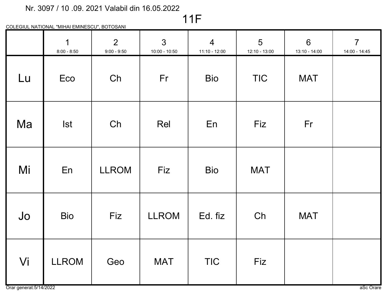# 11F

|    | $\mathbf 1$<br>$8:00 - 8:50$ | $\overline{2}$<br>$9:00 - 9:50$ | $\mathbf{3}$<br>$10:00 - 10:50$ | $\overline{4}$<br>$11:10 - 12:00$ | 5<br>12:10 - 13:00 | $6\phantom{1}$<br>13:10 - 14:00 | $\overline{7}$<br>14:00 - 14:45 |
|----|------------------------------|---------------------------------|---------------------------------|-----------------------------------|--------------------|---------------------------------|---------------------------------|
| Lu | Eco                          | Ch                              | Fr                              | <b>Bio</b>                        | <b>TIC</b>         | <b>MAT</b>                      |                                 |
| Ma | <b>Ist</b>                   | Ch                              | Rel                             | En                                | Fiz                | Fr                              |                                 |
| Mi | En                           | <b>LLROM</b>                    | Fiz                             | <b>Bio</b>                        | <b>MAT</b>         |                                 |                                 |
| Jo | <b>Bio</b>                   | Fiz                             | <b>LLROM</b>                    | Ed. fiz                           | Ch                 | <b>MAT</b>                      |                                 |
| Vi | <b>LLROM</b>                 | Geo                             | <b>MAT</b>                      | <b>TIC</b>                        | Fiz                |                                 |                                 |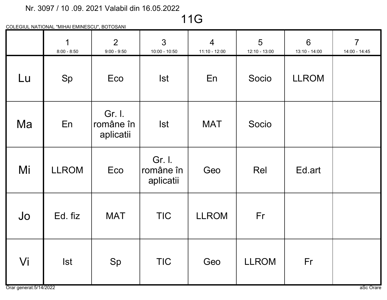11G

|    | 1<br>$8:00 - 8:50$ | $\overline{2}$<br>$9:00 - 9:50$  | $\overline{3}$<br>$10:00 - 10:50$ | $\overline{4}$<br>11:10 - 12:00 | 5<br>12:10 - 13:00 | 6<br>13:10 - 14:00 | $\overline{7}$<br>14:00 - 14:45 |
|----|--------------------|----------------------------------|-----------------------------------|---------------------------------|--------------------|--------------------|---------------------------------|
| Lu | Sp                 | Eco                              | <b>Ist</b>                        | En                              | Socio              | <b>LLROM</b>       |                                 |
| Ma | En                 | Gr. I.<br>române în<br>aplicatii | <b>Ist</b>                        | <b>MAT</b>                      | Socio              |                    |                                 |
| Mi | <b>LLROM</b>       | Eco                              | Gr. I.<br>române în<br>aplicatii  | Geo                             | Rel                | Ed.art             |                                 |
| Jo | Ed. fiz            | <b>MAT</b>                       | <b>TIC</b>                        | <b>LLROM</b>                    | Fr                 |                    |                                 |
| Vi | <b>Ist</b>         | Sp                               | <b>TIC</b>                        | Geo                             | <b>LLROM</b>       | Fr                 |                                 |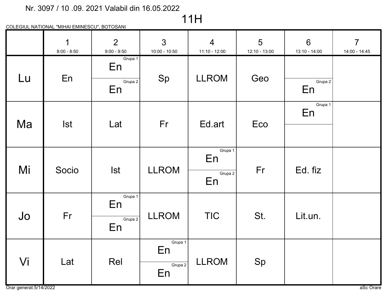# 11H

|    | $\mathbf 1$<br>$8:00 - 8:50$ | $\overline{2}$<br>$9:00 - 9:50$ | $\overline{3}$<br>$10:00 - 10:50$ | $\overline{4}$<br>$11:10 - 12:00$ | 5<br>12:10 - 13:00 | $6\overline{6}$<br>13:10 - 14:00 | $\overline{7}$<br>14:00 - 14:45 |
|----|------------------------------|---------------------------------|-----------------------------------|-----------------------------------|--------------------|----------------------------------|---------------------------------|
| Lu | En                           | Grupa 1<br>En                   | Sp                                | <b>LLROM</b>                      | Geo                |                                  |                                 |
|    |                              | Grupa 2<br>En                   |                                   |                                   |                    | Grupa 2<br>En                    |                                 |
|    |                              |                                 |                                   |                                   |                    | Grupa 1<br>En                    |                                 |
| Ma | <b>Ist</b>                   | Lat                             | Fr                                | Ed art                            | Eco                |                                  |                                 |
|    |                              |                                 |                                   | Grupa 1<br>En                     |                    |                                  |                                 |
| Mi | Socio                        | <b>Ist</b>                      | <b>LLROM</b>                      | Grupa 2<br>En                     | Fr                 | Ed. fiz                          |                                 |
|    |                              | Grupa 1<br>En                   |                                   |                                   |                    |                                  |                                 |
| Jo | Fr                           | Grupa 2<br>En                   | <b>LLROM</b>                      | <b>TIC</b>                        | St.                | Lit.un.                          |                                 |
|    |                              |                                 | Grupa 1<br>En                     |                                   |                    |                                  |                                 |
| Vi | Lat                          | Rel                             | Grupa 2<br>En                     | <b>LLROM</b>                      | Sp                 |                                  |                                 |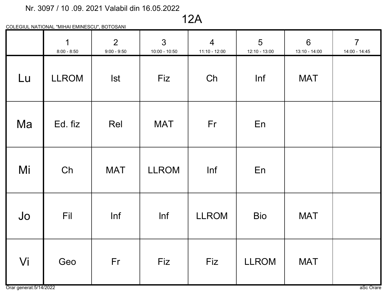12A

|    | $\overline{1}$<br>$8:00 - 8:50$ | $\overline{2}$<br>$9:00 - 9:50$ | 3 <sup>1</sup><br>$10:00 - 10:50$ | $\overline{4}$<br>11:10 - 12:00 | $5\overline{)}$<br>12:10 - 13:00 | $6\phantom{1}6$<br>13:10 - 14:00 | $7\overline{ }$<br>14:00 - 14:45 |
|----|---------------------------------|---------------------------------|-----------------------------------|---------------------------------|----------------------------------|----------------------------------|----------------------------------|
| Lu | <b>LLROM</b>                    | <b>Ist</b>                      | Fiz                               | Ch                              | Inf                              | <b>MAT</b>                       |                                  |
| Ma | Ed. fiz                         | Rel                             | <b>MAT</b>                        | Fr                              | En                               |                                  |                                  |
| Mi | Ch                              | <b>MAT</b>                      | <b>LLROM</b>                      | Inf                             | En                               |                                  |                                  |
| Jo | Fil                             | Inf                             | Inf                               | <b>LLROM</b>                    | <b>Bio</b>                       | <b>MAT</b>                       |                                  |
| Vi | Geo                             | Fr                              | Fiz                               | Fiz                             | <b>LLROM</b>                     | <b>MAT</b>                       |                                  |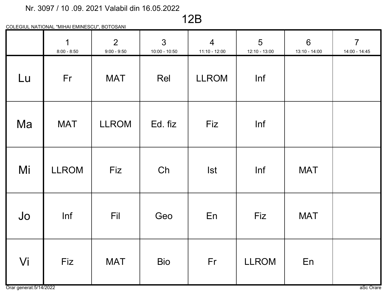12B

|    | $\overline{1}$<br>$8:00 - 8:50$ | $\overline{2}$<br>$9:00 - 9:50$ | $\mathbf{3}$<br>$10:00 - 10:50$ | $\overline{4}$<br>$11:10 - 12:00$ | 5<br>12:10 - 13:00 | $6\phantom{a}$<br>$13:10 - 14:00$ | $\overline{7}$<br>14:00 - 14:45 |
|----|---------------------------------|---------------------------------|---------------------------------|-----------------------------------|--------------------|-----------------------------------|---------------------------------|
| Lu | Fr                              | <b>MAT</b>                      | Rel                             | <b>LLROM</b>                      | Inf                |                                   |                                 |
| Ma | <b>MAT</b>                      | <b>LLROM</b>                    | Ed. fiz                         | Fiz                               | Inf                |                                   |                                 |
| Mi | <b>LLROM</b>                    | Fiz                             | Ch                              | <b>Ist</b>                        | Inf                | <b>MAT</b>                        |                                 |
| Jo | Inf                             | Fil                             | Geo                             | En                                | Fiz                | <b>MAT</b>                        |                                 |
| Vi | Fiz                             | <b>MAT</b>                      | <b>Bio</b>                      | Fr                                | <b>LLROM</b>       | En                                |                                 |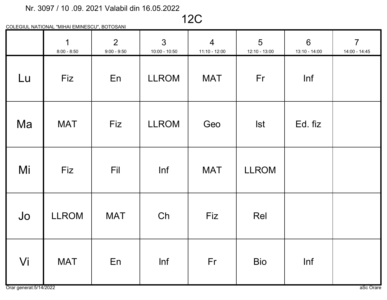12C

|    | $\overline{1}$<br>$8:00 - 8:50$ | 2 <sup>1</sup><br>$9:00 - 9:50$ | $\mathbf{3}$<br>$10:00 - 10:50$ | $\overline{4}$<br>$11:10 - 12:00$ | 5<br>12:10 - 13:00 | $6\phantom{1}$<br>13:10 - 14:00 | $\overline{7}$<br>14:00 - 14:45 |
|----|---------------------------------|---------------------------------|---------------------------------|-----------------------------------|--------------------|---------------------------------|---------------------------------|
| Lu | <b>Fiz</b>                      | En                              | <b>LLROM</b>                    | <b>MAT</b>                        | Fr                 | Inf                             |                                 |
| Ma | <b>MAT</b>                      | Fiz                             | <b>LLROM</b>                    | Geo                               | <b>Ist</b>         | Ed. fiz                         |                                 |
| Mi | Fiz                             | Fil                             | Inf                             | <b>MAT</b>                        | <b>LLROM</b>       |                                 |                                 |
| Jo | <b>LLROM</b>                    | <b>MAT</b>                      | Ch                              | Fiz                               | Rel                |                                 |                                 |
| Vi | <b>MAT</b>                      | En                              | Inf                             | Fr                                | <b>Bio</b>         | Inf                             |                                 |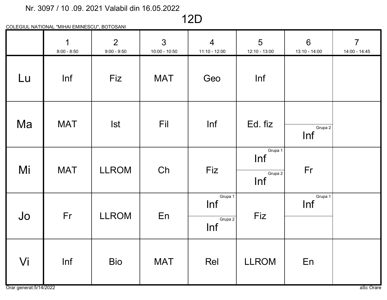### 12D

|    | $\mathbf 1$<br>$8:00 - 8:50$ | 2 <sup>1</sup><br>$9:00 - 9:50$ | $\mathbf{3}$<br>$10:00 - 10:50$ | $\overline{4}$<br>11:10 - 12:00  | $5\overline{)}$<br>12:10 - 13:00 | $6\phantom{1}$<br>13:10 - 14:00 | $7\overline{ }$<br>14:00 - 14:45 |
|----|------------------------------|---------------------------------|---------------------------------|----------------------------------|----------------------------------|---------------------------------|----------------------------------|
| Lu | Inf                          | Fiz                             | <b>MAT</b>                      | Geo                              | Inf                              |                                 |                                  |
| Ma | <b>MAT</b>                   | <b>Ist</b>                      | Fil                             | Inf                              | Ed. fiz                          | Grupa 2<br>Inf                  |                                  |
| Mi | <b>MAT</b>                   | <b>LLROM</b>                    | Ch                              | Fiz                              | Grupa 1<br>Inf<br>Grupa 2<br>Inf | Fr                              |                                  |
| Jo | Fr                           | <b>LLROM</b>                    | En                              | Grupa 1<br>Inf<br>Grupa 2<br>Inf | Fiz                              | Grupa 1<br>Inf                  |                                  |
| Vi | Inf                          | <b>Bio</b>                      | <b>MAT</b>                      | Rel                              | <b>LLROM</b>                     | En                              |                                  |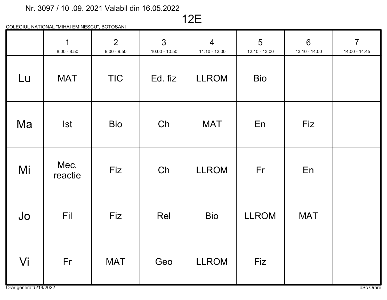# 12E

|    | $\mathbf{1}$<br>$8:00 - 8:50$ | $\overline{2}$<br>$9:00 - 9:50$ | $\mathbf{3}$<br>$10:00 - 10:50$ | $\overline{4}$<br>11:10 - 12:00 | 5<br>12:10 - 13:00 | $6\phantom{1}$<br>13:10 - 14:00 | $\overline{7}$<br>14:00 - 14:45 |
|----|-------------------------------|---------------------------------|---------------------------------|---------------------------------|--------------------|---------------------------------|---------------------------------|
| Lu | <b>MAT</b>                    | <b>TIC</b>                      | Ed. fiz                         | <b>LLROM</b>                    | <b>Bio</b>         |                                 |                                 |
| Ma | <b>Ist</b>                    | <b>Bio</b>                      | Ch                              | <b>MAT</b>                      | En                 | Fiz                             |                                 |
| Mi | Mec.<br>reactie               | Fiz                             | Ch                              | <b>LLROM</b>                    | Fr                 | En                              |                                 |
| Jo | Fil                           | Fiz                             | Rel                             | <b>Bio</b>                      | <b>LLROM</b>       | <b>MAT</b>                      |                                 |
| Vi | Fr                            | <b>MAT</b>                      | Geo                             | <b>LLROM</b>                    | Fiz                |                                 |                                 |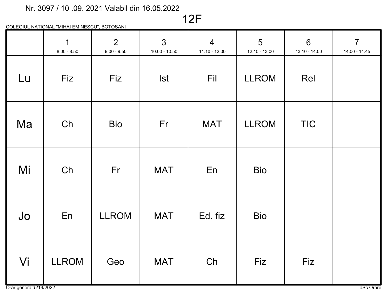12F

|    | $\overline{1}$<br>$8:00 - 8:50$ | $\overline{2}$<br>$9:00 - 9:50$ | $\mathbf{3}$<br>$10:00 - 10:50$ | $\overline{4}$<br>$11:10 - 12:00$ | $5\overline{)}$<br>12:10 - 13:00 | $6\phantom{1}$<br>13:10 - 14:00 | $\overline{7}$<br>14:00 - 14:45 |
|----|---------------------------------|---------------------------------|---------------------------------|-----------------------------------|----------------------------------|---------------------------------|---------------------------------|
| Lu | Fiz                             | Fiz                             | <b>Ist</b>                      | Fil                               | <b>LLROM</b>                     | Rel                             |                                 |
| Ma | Ch                              | <b>Bio</b>                      | Fr                              | <b>MAT</b>                        | <b>LLROM</b>                     | <b>TIC</b>                      |                                 |
| Mi | Ch                              | Fr                              | <b>MAT</b>                      | En                                | <b>Bio</b>                       |                                 |                                 |
| Jo | En                              | <b>LLROM</b>                    | <b>MAT</b>                      | Ed. fiz                           | <b>Bio</b>                       |                                 |                                 |
| Vi | <b>LLROM</b>                    | Geo                             | <b>MAT</b>                      | Ch                                | Fiz                              | Fiz                             |                                 |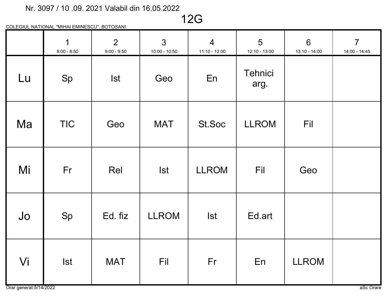12G

|    | $\mathbf 1$<br>$8:00 - 8:50$ | $\overline{2}$<br>$9:00 - 9:50$ | $\mathfrak{S}$<br>$10:00 - 10:50$ | $\overline{4}$<br>$11:10 - 12:00$ | 5<br>$12:10 - 13:00$ | $6\phantom{1}$<br>13:10 - 14:00 | $\overline{7}$<br>14:00 - 14:45 |
|----|------------------------------|---------------------------------|-----------------------------------|-----------------------------------|----------------------|---------------------------------|---------------------------------|
| Lu | Sp                           | <b>Ist</b>                      | Geo                               | En                                | Tehnici<br>arg.      |                                 |                                 |
| Ma | <b>TIC</b>                   | Geo                             | <b>MAT</b>                        | St.Soc                            | <b>LLROM</b>         | Fil                             |                                 |
| Mi | Fr                           | Rel                             | <b>Ist</b>                        | <b>LLROM</b>                      | Fil                  | Geo                             |                                 |
| Jo | Sp                           | Ed. fiz                         | <b>LLROM</b>                      | <b>Ist</b>                        | Ed.art               |                                 |                                 |
| Vi | <b>Ist</b>                   | <b>MAT</b>                      | Fil                               | Fr                                | En                   | <b>LLROM</b>                    |                                 |